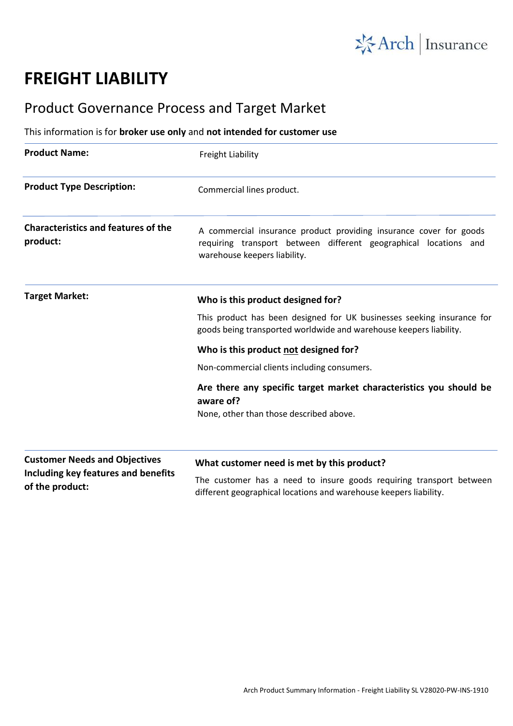

## **FREIGHT LIABILITY**

## Product Governance Process and Target Market

## This information is for **broker use only** and **not intended for customer use**

| <b>Product Name:</b>                                                                           | Freight Liability                                                                                                                                                      |
|------------------------------------------------------------------------------------------------|------------------------------------------------------------------------------------------------------------------------------------------------------------------------|
| <b>Product Type Description:</b>                                                               | Commercial lines product.                                                                                                                                              |
| <b>Characteristics and features of the</b><br>product:                                         | A commercial insurance product providing insurance cover for goods<br>requiring transport between different geographical locations and<br>warehouse keepers liability. |
| <b>Target Market:</b>                                                                          | Who is this product designed for?                                                                                                                                      |
|                                                                                                | This product has been designed for UK businesses seeking insurance for<br>goods being transported worldwide and warehouse keepers liability.                           |
|                                                                                                | Who is this product not designed for?                                                                                                                                  |
|                                                                                                | Non-commercial clients including consumers.                                                                                                                            |
|                                                                                                | Are there any specific target market characteristics you should be<br>aware of?                                                                                        |
|                                                                                                | None, other than those described above.                                                                                                                                |
| <b>Customer Needs and Objectives</b><br>Including key features and benefits<br>of the product: | What customer need is met by this product?                                                                                                                             |
|                                                                                                | The customer has a need to insure goods requiring transport between<br>different geographical locations and warehouse keepers liability.                               |